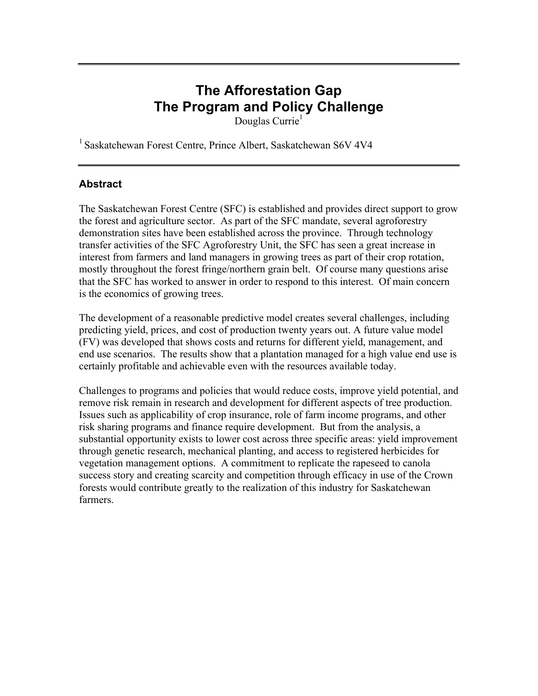# **The Afforestation Gap The Program and Policy Challenge**

Douglas Currie<sup>1</sup>

1 Saskatchewan Forest Centre, Prince Albert, Saskatchewan S6V 4V4

## **Abstract**

The Saskatchewan Forest Centre (SFC) is established and provides direct support to grow the forest and agriculture sector. As part of the SFC mandate, several agroforestry demonstration sites have been established across the province. Through technology transfer activities of the SFC Agroforestry Unit, the SFC has seen a great increase in interest from farmers and land managers in growing trees as part of their crop rotation, mostly throughout the forest fringe/northern grain belt. Of course many questions arise that the SFC has worked to answer in order to respond to this interest. Of main concern is the economics of growing trees.

The development of a reasonable predictive model creates several challenges, including predicting yield, prices, and cost of production twenty years out. A future value model (FV) was developed that shows costs and returns for different yield, management, and end use scenarios. The results show that a plantation managed for a high value end use is certainly profitable and achievable even with the resources available today.

Challenges to programs and policies that would reduce costs, improve yield potential, and remove risk remain in research and development for different aspects of tree production. Issues such as applicability of crop insurance, role of farm income programs, and other risk sharing programs and finance require development. But from the analysis, a substantial opportunity exists to lower cost across three specific areas: yield improvement through genetic research, mechanical planting, and access to registered herbicides for vegetation management options. A commitment to replicate the rapeseed to canola success story and creating scarcity and competition through efficacy in use of the Crown forests would contribute greatly to the realization of this industry for Saskatchewan farmers.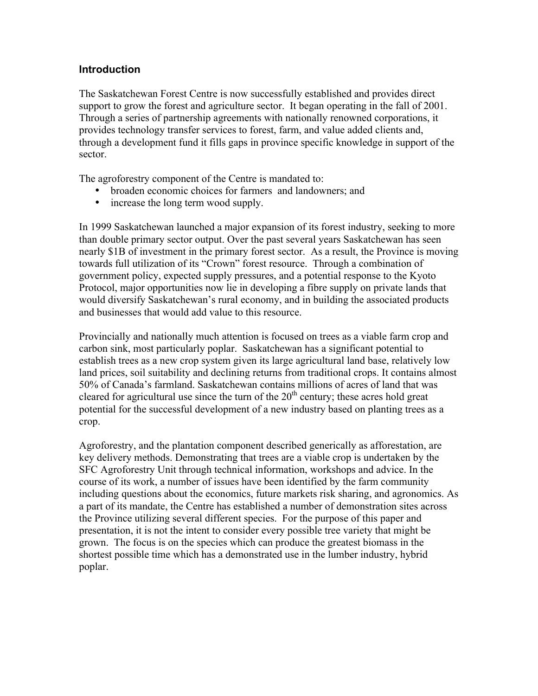#### **Introduction**

The Saskatchewan Forest Centre is now successfully established and provides direct support to grow the forest and agriculture sector. It began operating in the fall of 2001. Through a series of partnership agreements with nationally renowned corporations, it provides technology transfer services to forest, farm, and value added clients and, through a development fund it fills gaps in province specific knowledge in support of the sector.

The agroforestry component of the Centre is mandated to:

- broaden economic choices for farmers and landowners; and
- increase the long term wood supply.

In 1999 Saskatchewan launched a major expansion of its forest industry, seeking to more than double primary sector output. Over the past several years Saskatchewan has seen nearly \$1B of investment in the primary forest sector. As a result, the Province is moving towards full utilization of its "Crown" forest resource. Through a combination of government policy, expected supply pressures, and a potential response to the Kyoto Protocol, major opportunities now lie in developing a fibre supply on private lands that would diversify Saskatchewan's rural economy, and in building the associated products and businesses that would add value to this resource.

Provincially and nationally much attention is focused on trees as a viable farm crop and carbon sink, most particularly poplar. Saskatchewan has a significant potential to establish trees as a new crop system given its large agricultural land base, relatively low land prices, soil suitability and declining returns from traditional crops. It contains almost 50% of Canada's farmland. Saskatchewan contains millions of acres of land that was cleared for agricultural use since the turn of the  $20<sup>th</sup>$  century; these acres hold great potential for the successful development of a new industry based on planting trees as a crop.

Agroforestry, and the plantation component described generically as afforestation, are key delivery methods. Demonstrating that trees are a viable crop is undertaken by the SFC Agroforestry Unit through technical information, workshops and advice. In the course of its work, a number of issues have been identified by the farm community including questions about the economics, future markets risk sharing, and agronomics. As a part of its mandate, the Centre has established a number of demonstration sites across the Province utilizing several different species. For the purpose of this paper and presentation, it is not the intent to consider every possible tree variety that might be grown. The focus is on the species which can produce the greatest biomass in the shortest possible time which has a demonstrated use in the lumber industry, hybrid poplar.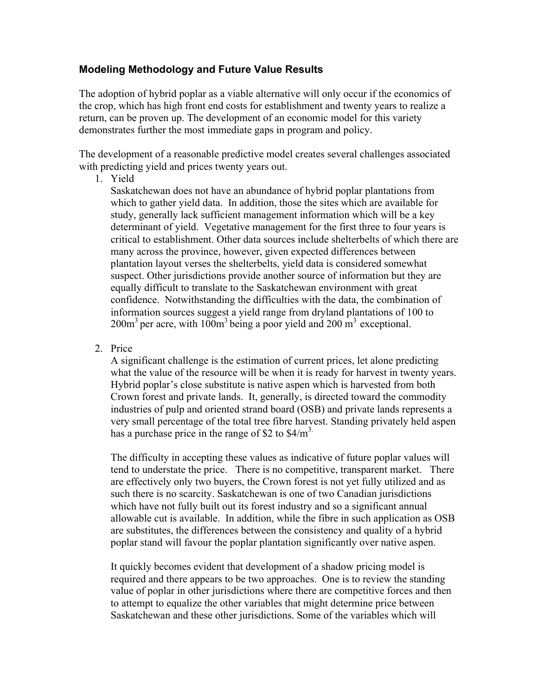## **Modeling Methodology and Future Value Results**

The adoption of hybrid poplar as a viable alternative will only occur if the economics of the crop, which has high front end costs for establishment and twenty years to realize a return, can be proven up. The development of an economic model for this variety demonstrates further the most immediate gaps in program and policy.

The development of a reasonable predictive model creates several challenges associated with predicting yield and prices twenty years out.

1. Yield

Saskatchewan does not have an abundance of hybrid poplar plantations from which to gather yield data. In addition, those the sites which are available for study, generally lack sufficient management information which will be a key determinant of yield. Vegetative management for the first three to four years is critical to establishment. Other data sources include shelterbelts of which there are many across the province, however, given expected differences between plantation layout verses the shelterbelts, yield data is considered somewhat suspect. Other jurisdictions provide another source of information but they are equally difficult to translate to the Saskatchewan environment with great confidence. Notwithstanding the difficulties with the data, the combination of information sources suggest a yield range from dryland plantations of 100 to  $200\,\text{m}^3$  per acre, with  $100\,\text{m}^3$  being a poor yield and  $200\,\text{m}^3$  exceptional.

2. Price

A significant challenge is the estimation of current prices, let alone predicting what the value of the resource will be when it is ready for harvest in twenty years. Hybrid poplar's close substitute is native aspen which is harvested from both Crown forest and private lands. It, generally, is directed toward the commodity industries of pulp and oriented strand board (OSB) and private lands represents a very small percentage of the total tree fibre harvest. Standing privately held aspen has a purchase price in the range of \$2 to  $$4/m<sup>3</sup>$ .

The difficulty in accepting these values as indicative of future poplar values will tend to understate the price. There is no competitive, transparent market. There are effectively only two buyers, the Crown forest is not yet fully utilized and as such there is no scarcity. Saskatchewan is one of two Canadian jurisdictions which have not fully built out its forest industry and so a significant annual allowable cut is available. In addition, while the fibre in such application as OSB are substitutes, the differences between the consistency and quality of a hybrid poplar stand will favour the poplar plantation significantly over native aspen.

It quickly becomes evident that development of a shadow pricing model is required and there appears to be two approaches. One is to review the standing value of poplar in other jurisdictions where there are competitive forces and then to attempt to equalize the other variables that might determine price between Saskatchewan and these other jurisdictions. Some of the variables which will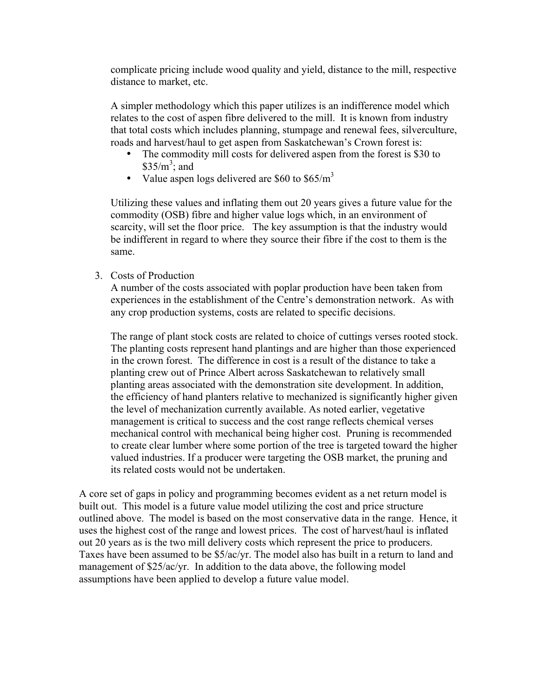complicate pricing include wood quality and yield, distance to the mill, respective distance to market, etc.

A simpler methodology which this paper utilizes is an indifference model which relates to the cost of aspen fibre delivered to the mill. It is known from industry that total costs which includes planning, stumpage and renewal fees, silverculture, roads and harvest/haul to get aspen from Saskatchewan's Crown forest is:

- The commodity mill costs for delivered aspen from the forest is \$30 to  $$35/m^3$ ; and
- Value aspen logs delivered are  $$60$  to  $$65/m^3$

Utilizing these values and inflating them out 20 years gives a future value for the commodity (OSB) fibre and higher value logs which, in an environment of scarcity, will set the floor price. The key assumption is that the industry would be indifferent in regard to where they source their fibre if the cost to them is the same.

3. Costs of Production

A number of the costs associated with poplar production have been taken from experiences in the establishment of the Centre's demonstration network. As with any crop production systems, costs are related to specific decisions.

The range of plant stock costs are related to choice of cuttings verses rooted stock. The planting costs represent hand plantings and are higher than those experienced in the crown forest. The difference in cost is a result of the distance to take a planting crew out of Prince Albert across Saskatchewan to relatively small planting areas associated with the demonstration site development. In addition, the efficiency of hand planters relative to mechanized is significantly higher given the level of mechanization currently available. As noted earlier, vegetative management is critical to success and the cost range reflects chemical verses mechanical control with mechanical being higher cost. Pruning is recommended to create clear lumber where some portion of the tree is targeted toward the higher valued industries. If a producer were targeting the OSB market, the pruning and its related costs would not be undertaken.

A core set of gaps in policy and programming becomes evident as a net return model is built out. This model is a future value model utilizing the cost and price structure outlined above. The model is based on the most conservative data in the range. Hence, it uses the highest cost of the range and lowest prices. The cost of harvest/haul is inflated out 20 years as is the two mill delivery costs which represent the price to producers. Taxes have been assumed to be \$5/ac/yr. The model also has built in a return to land and management of \$25/ac/yr. In addition to the data above, the following model assumptions have been applied to develop a future value model.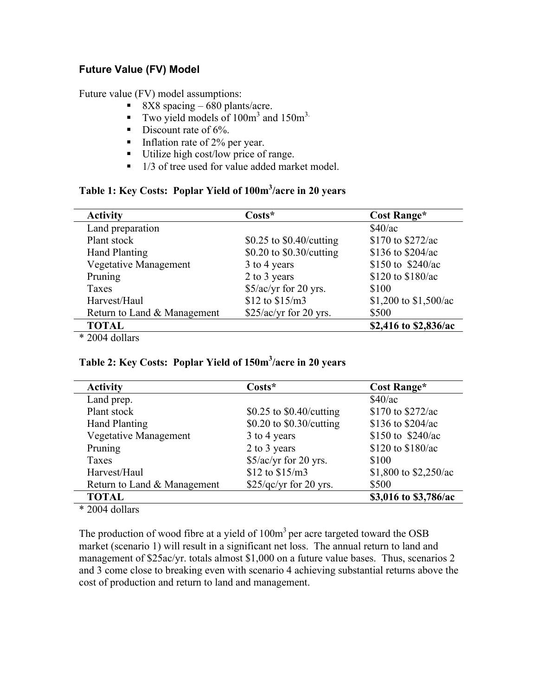# **Future Value (FV) Model**

Future value (FV) model assumptions:

- $\sim 8X8$  spacing 680 plants/acre.
- Two yield models of  $100m<sup>3</sup>$  and  $150m<sup>3</sup>$ .
- $\blacksquare$  Discount rate of 6%.
- Inflation rate of  $2\%$  per year.
- Utilize high cost/low price of range.
- $\blacksquare$  1/3 of tree used for value added market model.

## Table 1: Key Costs: Poplar Yield of 100m<sup>3</sup>/acre in 20 years

| <b>Activity</b>              | $\text{Costs}^*$         | Cost Range*           |
|------------------------------|--------------------------|-----------------------|
| Land preparation             |                          | \$40/ac               |
| Plant stock                  | \$0.25 to \$0.40/cutting | \$170 to \$272/ac     |
| <b>Hand Planting</b>         | \$0.20 to \$0.30/cutting | \$136 to \$204/ac     |
| <b>Vegetative Management</b> | 3 to 4 years             | \$150 to $$240/ac$    |
| Pruning                      | 2 to 3 years             | \$120 to \$180/ac     |
| Taxes                        | \$5/ac/yr for 20 yrs.    | \$100                 |
| Harvest/Haul                 | \$12 to \$15/m3          | \$1,200 to \$1,500/ac |
| Return to Land & Management  | $$25/ac/yr$ for 20 yrs.  | \$500                 |
| <b>TOTAL</b>                 |                          | \$2,416 to \$2,836/ac |
|                              |                          |                       |

\* 2004 dollars

## Table 2: Key Costs: Poplar Yield of 150m<sup>3</sup>/acre in 20 years

| <b>Activity</b>              | $Costs^*$                | Cost Range*           |  |
|------------------------------|--------------------------|-----------------------|--|
| Land prep.                   |                          | \$40/ac               |  |
| Plant stock                  | \$0.25 to \$0.40/cutting | \$170 to \$272/ac     |  |
| <b>Hand Planting</b>         | \$0.20 to \$0.30/cutting | \$136 to \$204/ac     |  |
| <b>Vegetative Management</b> | 3 to 4 years             | \$150 to \$240/ac     |  |
| Pruning                      | 2 to 3 years             | \$120 to \$180/ac     |  |
| Taxes                        | \$5/ac/yr for 20 yrs.    | \$100                 |  |
| Harvest/Haul                 | \$12 to \$15/m3          | \$1,800 to \$2,250/ac |  |
| Return to Land & Management  | $$25$ /qc/yr for 20 yrs. | \$500                 |  |
| <b>TOTAL</b>                 |                          | \$3,016 to \$3,786/ac |  |

\* 2004 dollars

The production of wood fibre at a yield of  $100m<sup>3</sup>$  per acre targeted toward the OSB market (scenario 1) will result in a significant net loss. The annual return to land and management of \$25ac/yr. totals almost \$1,000 on a future value bases. Thus, scenarios 2 and 3 come close to breaking even with scenario 4 achieving substantial returns above the cost of production and return to land and management.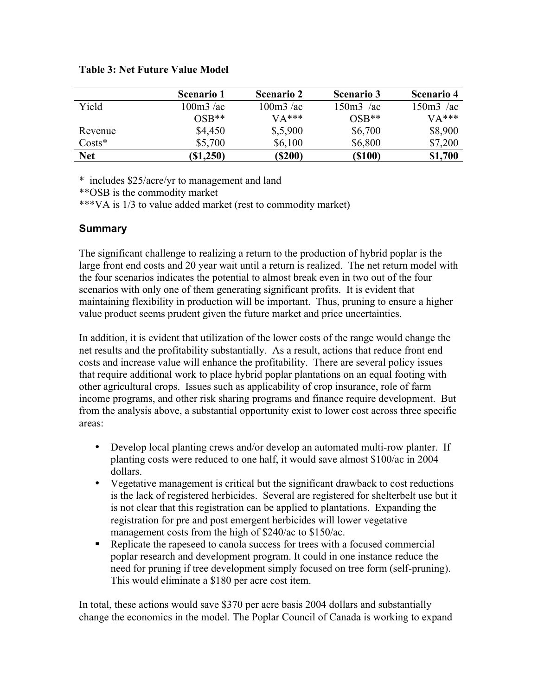#### Table 3: Net Future Value Model

|            | <b>Scenario 1</b> | <b>Scenario 2</b> | <b>Scenario 3</b> | <b>Scenario 4</b> |
|------------|-------------------|-------------------|-------------------|-------------------|
| Yield      | $100m3$ /ac       | $100m3$ /ac       | $150m3$ /ac       | $150m3$ /ac       |
|            | $OSB**$           | $VA***$           | $OSB**$           | $VA***$           |
| Revenue    | \$4,450           | \$,5,900          | \$6,700           | \$8,900           |
| $Costs*$   | \$5,700           | \$6,100           | \$6,800           | \$7,200           |
| <b>Net</b> | (S1,250)          | (S200)            | (\$100)           | \$1,700           |

\* includes \$25/acre/yr to management and land

\*\*OSB is the commodity market

\*\*\*VA is 1/3 to value added market (rest to commodity market)

## **Summary**

The significant challenge to realizing a return to the production of hybrid poplar is the large front end costs and 20 year wait until a return is realized. The net return model with the four scenarios indicates the potential to almost break even in two out of the four scenarios with only one of them generating significant profits. It is evident that maintaining flexibility in production will be important. Thus, pruning to ensure a higher value product seems prudent given the future market and price uncertainties.

In addition, it is evident that utilization of the lower costs of the range would change the net results and the profitability substantially. As a result, actions that reduce front end costs and increase value will enhance the profitability. There are several policy issues that require additional work to place hybrid poplar plantations on an equal footing with other agricultural crops. Issues such as applicability of crop insurance, role of farm income programs, and other risk sharing programs and finance require development. But from the analysis above, a substantial opportunity exist to lower cost across three specific areas:

- Develop local planting crews and/or develop an automated multi-row planter. If planting costs were reduced to one half, it would save almost \$100/ac in 2004 dollars.
- Vegetative management is critical but the significant drawback to cost reductions is the lack of registered herbicides. Several are registered for shelterbelt use but it is not clear that this registration can be applied to plantations. Expanding the registration for pre and post emergent herbicides will lower vegetative management costs from the high of \$240/ac to \$150/ac.
- Replicate the rapeseed to canola success for trees with a focused commercial poplar research and development program. It could in one instance reduce the need for pruning if tree development simply focused on tree form (self-pruning). This would eliminate a \$180 per acre cost item.

In total, these actions would save \$370 per acre basis 2004 dollars and substantially change the economics in the model. The Poplar Council of Canada is working to expand